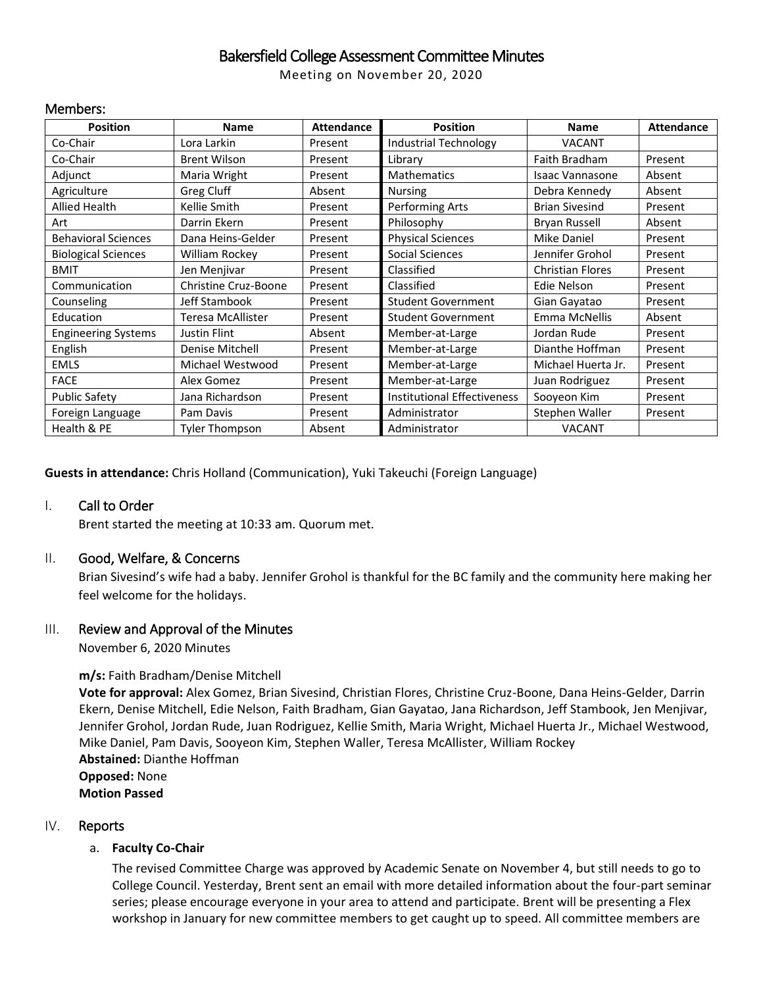# Bakersfield College Assessment Committee Minutes

Meeting on November 20, 2020

#### Members:

| <b>Position</b>            | <b>Name</b>              | <b>Attendance</b> | <b>Position</b>                    | <b>Name</b>             | <b>Attendance</b> |
|----------------------------|--------------------------|-------------------|------------------------------------|-------------------------|-------------------|
| Co-Chair                   | Lora Larkin              | Present           | <b>Industrial Technology</b>       | <b>VACANT</b>           |                   |
| Co-Chair                   | <b>Brent Wilson</b>      | Present           | Library                            | Faith Bradham           | Present           |
| Adjunct                    | Maria Wright             | Present           | <b>Mathematics</b>                 | <b>Isaac Vannasone</b>  | Absent            |
| Agriculture                | Greg Cluff               | Absent            | <b>Nursing</b>                     | Debra Kennedy           | Absent            |
| Allied Health              | Kellie Smith             | Present           | Performing Arts                    | <b>Brian Sivesind</b>   | Present           |
| Art                        | Darrin Ekern             | Present           | Philosophy                         | <b>Bryan Russell</b>    | Absent            |
| <b>Behavioral Sciences</b> | Dana Heins-Gelder        | Present           | <b>Physical Sciences</b>           | <b>Mike Daniel</b>      | Present           |
| <b>Biological Sciences</b> | William Rockey           | Present           | Social Sciences                    | Jennifer Grohol         | Present           |
| <b>BMIT</b>                | Jen Menjivar             | Present           | Classified                         | <b>Christian Flores</b> | Present           |
| Communication              | Christine Cruz-Boone     | Present           | Classified                         | Edie Nelson             | Present           |
| Counseling                 | Jeff Stambook            | Present           | <b>Student Government</b>          | Gian Gayatao            | Present           |
| Education                  | <b>Teresa McAllister</b> | Present           | <b>Student Government</b>          | Emma McNellis           | Absent            |
| <b>Engineering Systems</b> | Justin Flint             | Absent            | Member-at-Large                    | Jordan Rude             | Present           |
| English                    | Denise Mitchell          | Present           | Member-at-Large                    | Dianthe Hoffman         | Present           |
| <b>EMLS</b>                | Michael Westwood         | Present           | Member-at-Large                    | Michael Huerta Jr.      | Present           |
| <b>FACE</b>                | Alex Gomez               | Present           | Member-at-Large                    | Juan Rodriguez          | Present           |
| <b>Public Safety</b>       | Jana Richardson          | Present           | <b>Institutional Effectiveness</b> | Sooyeon Kim             | Present           |
| Foreign Language           | Pam Davis                | Present           | Administrator                      | Stephen Waller          | Present           |
| Health & PE                | Tyler Thompson           | Absent            | Administrator                      | <b>VACANT</b>           |                   |

**Guests in attendance:** Chris Holland (Communication), Yuki Takeuchi (Foreign Language)

### I. Call to Order

Brent started the meeting at 10:33 am. Quorum met.

### II. Good, Welfare, & Concerns

Brian Sivesind's wife had a baby. Jennifer Grohol is thankful for the BC family and the community here making her feel welcome for the holidays.

### III. Review and Approval of the Minutes

November 6, 2020 Minutes

### **m/s:** Faith Bradham/Denise Mitchell

**Vote for approval:** Alex Gomez, Brian Sivesind, Christian Flores, Christine Cruz-Boone, Dana Heins-Gelder, Darrin Ekern, Denise Mitchell, Edie Nelson, Faith Bradham, Gian Gayatao, Jana Richardson, Jeff Stambook, Jen Menjivar, Jennifer Grohol, Jordan Rude, Juan Rodriguez, Kellie Smith, Maria Wright, Michael Huerta Jr., Michael Westwood, Mike Daniel, Pam Davis, Sooyeon Kim, Stephen Waller, Teresa McAllister, William Rockey **Abstained:** Dianthe Hoffman **Opposed:** None **Motion Passed**

### IV. Reports

### a. **Faculty Co-Chair**

The revised Committee Charge was approved by Academic Senate on November 4, but still needs to go to College Council. Yesterday, Brent sent an email with more detailed information about the four-part seminar series; please encourage everyone in your area to attend and participate. Brent will be presenting a Flex workshop in January for new committee members to get caught up to speed. All committee members are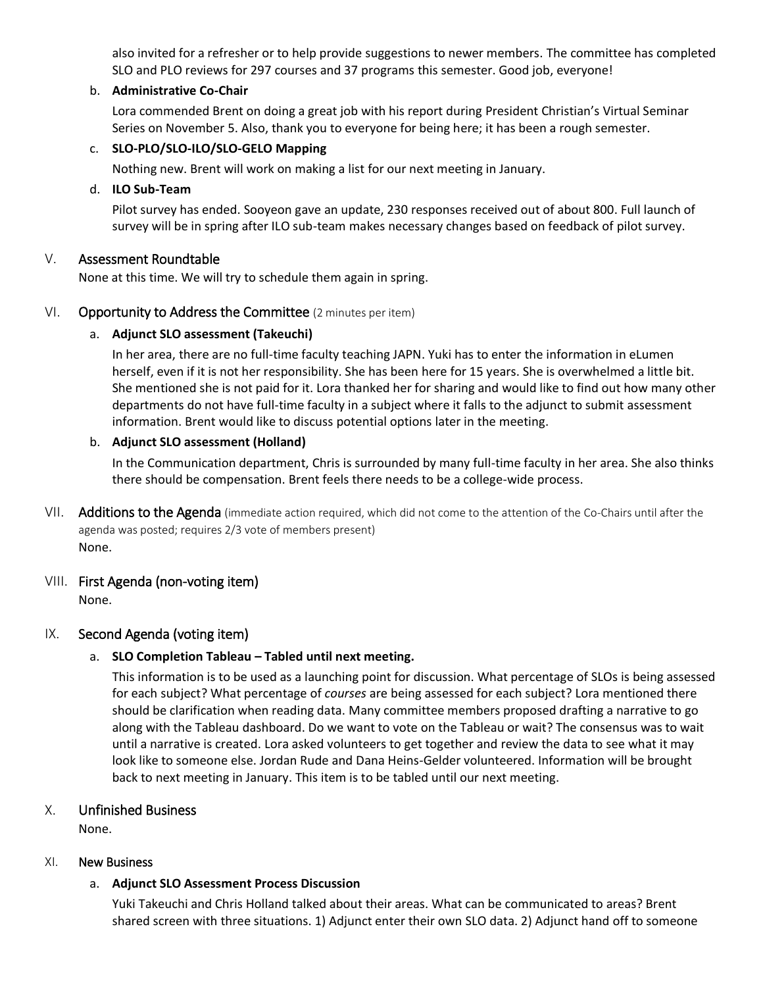also invited for a refresher or to help provide suggestions to newer members. The committee has completed SLO and PLO reviews for 297 courses and 37 programs this semester. Good job, everyone!

### b. **Administrative Co-Chair**

Lora commended Brent on doing a great job with his report during President Christian's Virtual Seminar Series on November 5. Also, thank you to everyone for being here; it has been a rough semester.

### c. **SLO-PLO/SLO-ILO/SLO-GELO Mapping**

Nothing new. Brent will work on making a list for our next meeting in January.

### d. **ILO Sub-Team**

Pilot survey has ended. Sooyeon gave an update, 230 responses received out of about 800. Full launch of survey will be in spring after ILO sub-team makes necessary changes based on feedback of pilot survey.

### V. Assessment Roundtable

None at this time. We will try to schedule them again in spring.

### VI. Opportunity to Address the Committee (2 minutes per item)

### a. **Adjunct SLO assessment (Takeuchi)**

In her area, there are no full-time faculty teaching JAPN. Yuki has to enter the information in eLumen herself, even if it is not her responsibility. She has been here for 15 years. She is overwhelmed a little bit. She mentioned she is not paid for it. Lora thanked her for sharing and would like to find out how many other departments do not have full-time faculty in a subject where it falls to the adjunct to submit assessment information. Brent would like to discuss potential options later in the meeting.

### b. **Adjunct SLO assessment (Holland)**

In the Communication department, Chris is surrounded by many full-time faculty in her area. She also thinks there should be compensation. Brent feels there needs to be a college-wide process.

VII. Additions to the Agenda (immediate action required, which did not come to the attention of the Co-Chairs until after the agenda was posted; requires 2/3 vote of members present) None.

### VIII. First Agenda (non-voting item)

None.

# IX. Second Agenda (voting item)

### a. **SLO Completion Tableau – Tabled until next meeting.**

This information is to be used as a launching point for discussion. What percentage of SLOs is being assessed for each subject? What percentage of *courses* are being assessed for each subject? Lora mentioned there should be clarification when reading data. Many committee members proposed drafting a narrative to go along with the Tableau dashboard. Do we want to vote on the Tableau or wait? The consensus was to wait until a narrative is created. Lora asked volunteers to get together and review the data to see what it may look like to someone else. Jordan Rude and Dana Heins-Gelder volunteered. Information will be brought back to next meeting in January. This item is to be tabled until our next meeting.

# X. Unfinished Business

None.

### XI. New Business

### a. **Adjunct SLO Assessment Process Discussion**

Yuki Takeuchi and Chris Holland talked about their areas. What can be communicated to areas? Brent shared screen with three situations. 1) Adjunct enter their own SLO data. 2) Adjunct hand off to someone